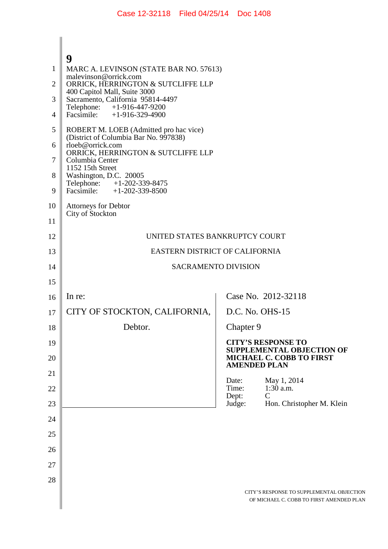| 1        | 9<br>MARC A. LEVINSON (STATE BAR NO. 57613)                                     |                                                                                       |
|----------|---------------------------------------------------------------------------------|---------------------------------------------------------------------------------------|
| 2        | malevinson@orrick.com<br>ORRICK, HERRINGTON & SUTCLIFFE LLP                     |                                                                                       |
| 3        | 400 Capitol Mall, Suite 3000<br>Sacramento, California 95814-4497               |                                                                                       |
| 4        | Telephone: +1-916-447-9200<br>Facsimile: $+1-916-329-4900$                      |                                                                                       |
| 5        | ROBERT M. LOEB (Admitted pro hac vice)<br>(District of Columbia Bar No. 997838) |                                                                                       |
| 6        | rloeb@orrick.com<br>ORRICK, HERRINGTON & SUTCLIFFE LLP                          |                                                                                       |
| 7        | Columbia Center<br>1152 15th Street                                             |                                                                                       |
| 8        | Washington, D.C. 20005<br>Telephone: +1-202-339-8475                            |                                                                                       |
| 9        | Facsimile: $+1-202-339-8500$                                                    |                                                                                       |
| 10       | <b>Attorneys for Debtor</b><br>City of Stockton                                 |                                                                                       |
| 11       |                                                                                 |                                                                                       |
| 12       | UNITED STATES BANKRUPTCY COURT<br>EASTERN DISTRICT OF CALIFORNIA                |                                                                                       |
| 13       | <b>SACRAMENTO DIVISION</b>                                                      |                                                                                       |
| 14<br>15 |                                                                                 |                                                                                       |
| 16       | In re:                                                                          | Case No. 2012-32118                                                                   |
| 17       | CITY OF STOCKTON, CALIFORNIA,                                                   | D.C. No. OHS-15                                                                       |
| 18       | Debtor.                                                                         | Chapter 9                                                                             |
| 19       |                                                                                 | <b>CITY'S RESPONSE TO</b>                                                             |
| 20       |                                                                                 | SUPPLEMENTAL OBJECTION OF<br>MICHAEL C. COBB TO FIRST<br><b>AMENDED PLAN</b>          |
| 21       |                                                                                 | May 1, 2014<br>Date:                                                                  |
| 22       |                                                                                 | $1:30$ a.m.<br>Time:<br>$\mathcal{C}$<br>Dept:                                        |
| 23       |                                                                                 | Judge:<br>Hon. Christopher M. Klein                                                   |
| 24       |                                                                                 |                                                                                       |
| 25       |                                                                                 |                                                                                       |
| 26       |                                                                                 |                                                                                       |
| 27       |                                                                                 |                                                                                       |
| 28       |                                                                                 |                                                                                       |
|          |                                                                                 | CITY'S RESPONSE TO SUPPLEMENTAL OBJECTION<br>OF MICHAEL C. COBB TO FIRST AMENDED PLAN |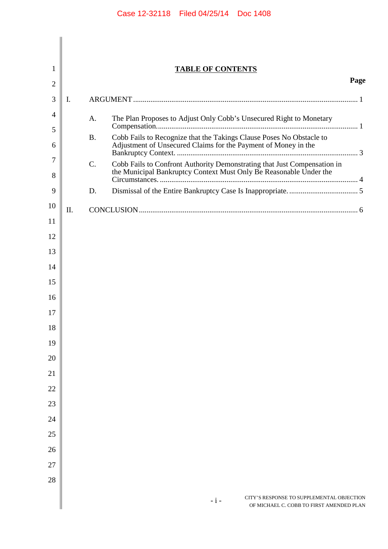| 1              |     |           | <b>TABLE OF CONTENTS</b>                                                                                                                       |      |
|----------------|-----|-----------|------------------------------------------------------------------------------------------------------------------------------------------------|------|
| $\overline{2}$ |     |           |                                                                                                                                                | Page |
| 3              | I.  |           |                                                                                                                                                |      |
| 4              |     | A.        | The Plan Proposes to Adjust Only Cobb's Unsecured Right to Monetary                                                                            |      |
| 5              |     | <b>B.</b> | Cobb Fails to Recognize that the Takings Clause Poses No Obstacle to                                                                           |      |
| 6              |     |           | Adjustment of Unsecured Claims for the Payment of Money in the                                                                                 |      |
| 7<br>8         |     | C.        | Cobb Fails to Confront Authority Demonstrating that Just Compensation in<br>the Municipal Bankruptcy Context Must Only Be Reasonable Under the |      |
| 9              |     | D.        |                                                                                                                                                |      |
| 10             | II. |           |                                                                                                                                                |      |
| 11             |     |           |                                                                                                                                                |      |
| 12             |     |           |                                                                                                                                                |      |
| 13             |     |           |                                                                                                                                                |      |
| 14             |     |           |                                                                                                                                                |      |
| 15             |     |           |                                                                                                                                                |      |
| 16             |     |           |                                                                                                                                                |      |
| 17             |     |           |                                                                                                                                                |      |
| 18             |     |           |                                                                                                                                                |      |
| 19             |     |           |                                                                                                                                                |      |
| 20             |     |           |                                                                                                                                                |      |
| 21             |     |           |                                                                                                                                                |      |
| 22             |     |           |                                                                                                                                                |      |
| 23             |     |           |                                                                                                                                                |      |
| 24             |     |           |                                                                                                                                                |      |
| 25             |     |           |                                                                                                                                                |      |
| 26             |     |           |                                                                                                                                                |      |
| 27             |     |           |                                                                                                                                                |      |
| 28             |     |           |                                                                                                                                                |      |
|                |     |           | CITY'S RESPONSE TO SUPPLEMENTAL OBJECTION<br>$-i-$<br>OF MICHAEL C. COBB TO FIRST AMENDED PLAN                                                 |      |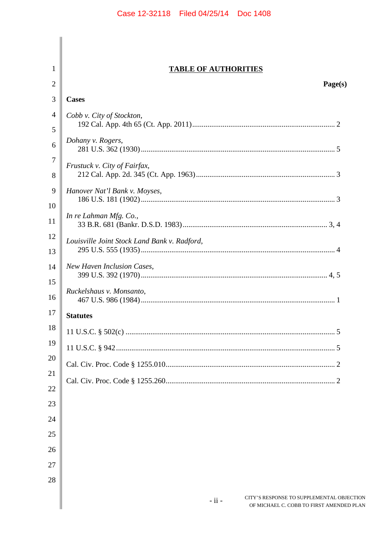|                               | <b>TABLE OF AUTHORITIES</b>                  |
|-------------------------------|----------------------------------------------|
|                               | Page(s)                                      |
|                               | <b>Cases</b>                                 |
|                               | Cobb v. City of Stockton,                    |
|                               |                                              |
|                               | Dohany v. Rogers,                            |
|                               | Frustuck v. City of Fairfax,                 |
| Hanover Nat'l Bank v. Moyses, |                                              |
|                               |                                              |
|                               | In re Lahman Mfg. Co.,                       |
|                               | Louisville Joint Stock Land Bank v. Radford, |
|                               | New Haven Inclusion Cases,                   |
|                               | Ruckelshaus v. Monsanto,                     |
|                               | <b>Statutes</b>                              |
|                               |                                              |
|                               |                                              |
|                               |                                              |
|                               |                                              |
|                               |                                              |
|                               |                                              |
|                               |                                              |
|                               |                                              |
|                               |                                              |
|                               |                                              |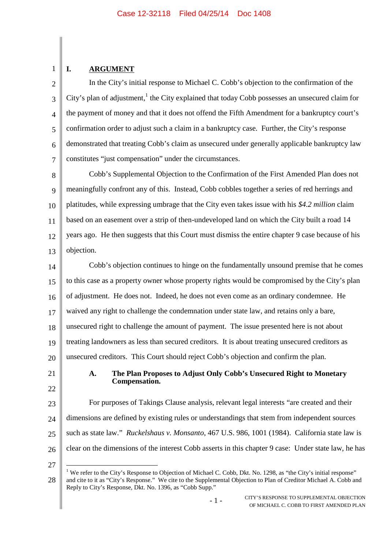# **I. ARGUMENT**

1

 $\overline{2}$ 3 4 5 6 7 In the City's initial response to Michael C. Cobb's objection to the confirmation of the City's plan of adjustment,  $\frac{1}{1}$  the City explained that today Cobb possesses an unsecured claim for the payment of money and that it does not offend the Fifth Amendment for a bankruptcy court's confirmation order to adjust such a claim in a bankruptcy case. Further, the City's response demonstrated that treating Cobb's claim as unsecured under generally applicable bankruptcy law constitutes "just compensation" under the circumstances.

8 9 10 11 12 13 Cobb's Supplemental Objection to the Confirmation of the First Amended Plan does not meaningfully confront any of this. Instead, Cobb cobbles together a series of red herrings and platitudes, while expressing umbrage that the City even takes issue with his *\$4.2 million* claim based on an easement over a strip of then-undeveloped land on which the City built a road 14 years ago. He then suggests that this Court must dismiss the entire chapter 9 case because of his objection.

14 15 16 17 18 19 20 Cobb's objection continues to hinge on the fundamentally unsound premise that he comes to this case as a property owner whose property rights would be compromised by the City's plan of adjustment. He does not. Indeed, he does not even come as an ordinary condemnee. He waived any right to challenge the condemnation under state law, and retains only a bare, unsecured right to challenge the amount of payment. The issue presented here is not about treating landowners as less than secured creditors. It is about treating unsecured creditors as unsecured creditors. This Court should reject Cobb's objection and confirm the plan.

21

22

### **A. The Plan Proposes to Adjust Only Cobb's Unsecured Right to Monetary Compensation.**

23 24 25 26 For purposes of Takings Clause analysis, relevant legal interests "are created and their dimensions are defined by existing rules or understandings that stem from independent sources such as state law." *Ruckelshaus v. Monsanto*, 467 U.S. 986, 1001 (1984). California state law is clear on the dimensions of the interest Cobb asserts in this chapter 9 case: Under state law, he has

27

<sup>28</sup> <sup>1</sup> We refer to the City's Response to Objection of Michael C. Cobb, Dkt. No. 1298, as "the City's initial response" and cite to it as "City's Response." We cite to the Supplemental Objection to Plan of Creditor Michael A. Cobb and Reply to City's Response, Dkt. No. 1396, as "Cobb Supp."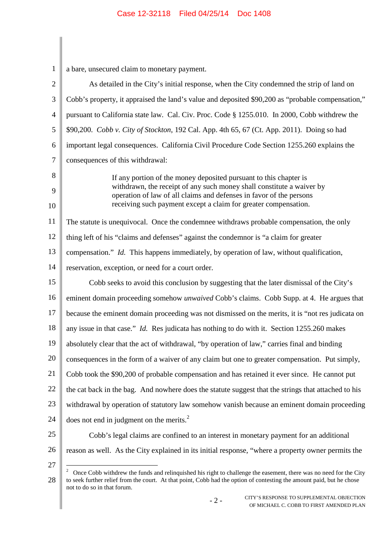| $\mathbf{1}$   | a bare, unsecured claim to monetary payment.                                                                                                                                                                                                                          |
|----------------|-----------------------------------------------------------------------------------------------------------------------------------------------------------------------------------------------------------------------------------------------------------------------|
| $\mathbf{2}$   | As detailed in the City's initial response, when the City condemned the strip of land on                                                                                                                                                                              |
| 3              | Cobb's property, it appraised the land's value and deposited \$90,200 as "probable compensation,"                                                                                                                                                                     |
| $\overline{4}$ | pursuant to California state law. Cal. Civ. Proc. Code § 1255.010. In 2000, Cobb withdrew the                                                                                                                                                                         |
| 5              | \$90,200. Cobb v. City of Stockton, 192 Cal. App. 4th 65, 67 (Ct. App. 2011). Doing so had                                                                                                                                                                            |
| 6              | important legal consequences. California Civil Procedure Code Section 1255.260 explains the                                                                                                                                                                           |
| 7              | consequences of this withdrawal:                                                                                                                                                                                                                                      |
| 8              | If any portion of the money deposited pursuant to this chapter is                                                                                                                                                                                                     |
| 9              | withdrawn, the receipt of any such money shall constitute a waiver by<br>operation of law of all claims and defenses in favor of the persons                                                                                                                          |
| 10             | receiving such payment except a claim for greater compensation.                                                                                                                                                                                                       |
| 11             | The statute is unequivocal. Once the condemnee withdraws probable compensation, the only                                                                                                                                                                              |
| 12             | thing left of his "claims and defenses" against the condemnor is "a claim for greater                                                                                                                                                                                 |
| 13             | compensation." <i>Id.</i> This happens immediately, by operation of law, without qualification,                                                                                                                                                                       |
| 14             | reservation, exception, or need for a court order.                                                                                                                                                                                                                    |
| 15             | Cobb seeks to avoid this conclusion by suggesting that the later dismissal of the City's                                                                                                                                                                              |
| 16             | eminent domain proceeding somehow <i>unwaived</i> Cobb's claims. Cobb Supp. at 4. He argues that                                                                                                                                                                      |
| 17             | because the eminent domain proceeding was not dismissed on the merits, it is "not res judicata on                                                                                                                                                                     |
| 18             | any issue in that case." Id. Res judicata has nothing to do with it. Section 1255.260 makes                                                                                                                                                                           |
| 19             | absolutely clear that the act of withdrawal, "by operation of law," carries final and binding                                                                                                                                                                         |
| 20             | consequences in the form of a waiver of any claim but one to greater compensation. Put simply,                                                                                                                                                                        |
| 21             | Cobb took the \$90,200 of probable compensation and has retained it ever since. He cannot put                                                                                                                                                                         |
| 22             | the cat back in the bag. And nowhere does the statute suggest that the strings that attached to his                                                                                                                                                                   |
| 23             | withdrawal by operation of statutory law somehow vanish because an eminent domain proceeding                                                                                                                                                                          |
| 24             | does not end in judgment on the merits. $2$                                                                                                                                                                                                                           |
| 25             | Cobb's legal claims are confined to an interest in monetary payment for an additional                                                                                                                                                                                 |
| 26             | reason as well. As the City explained in its initial response, "where a property owner permits the                                                                                                                                                                    |
| 27<br>28       | Once Cobb withdrew the funds and relinquished his right to challenge the easement, there was no need for the City<br>$\overline{\mathbf{c}}$<br>to seek further relief from the court. At that point, Cobb had the option of contesting the amount paid, but he chose |

not to do so in that forum.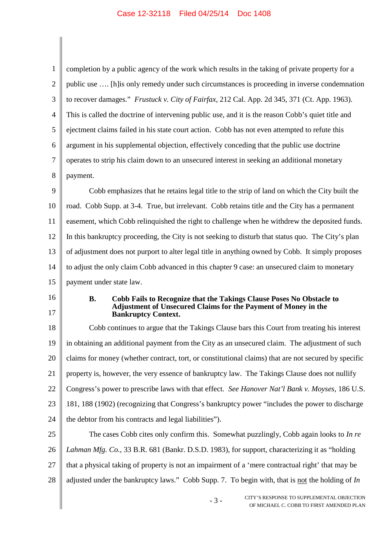| $\mathbf{1}$   | completion by a public agency of the work which results in the taking of private property for a                                                     |  |
|----------------|-----------------------------------------------------------------------------------------------------------------------------------------------------|--|
| $\mathbf{2}$   | public use  [h] is only remedy under such circumstances is proceeding in inverse condemnation                                                       |  |
| 3              | to recover damages." Frustuck v. City of Fairfax, 212 Cal. App. 2d 345, 371 (Ct. App. 1963).                                                        |  |
| $\overline{4}$ | This is called the doctrine of intervening public use, and it is the reason Cobb's quiet title and                                                  |  |
| 5              | ejectment claims failed in his state court action. Cobb has not even attempted to refute this                                                       |  |
| 6              | argument in his supplemental objection, effectively conceding that the public use doctrine                                                          |  |
| 7              | operates to strip his claim down to an unsecured interest in seeking an additional monetary                                                         |  |
| 8              | payment.                                                                                                                                            |  |
| 9              | Cobb emphasizes that he retains legal title to the strip of land on which the City built the                                                        |  |
| 10             | road. Cobb Supp. at 3-4. True, but irrelevant. Cobb retains title and the City has a permanent                                                      |  |
| 11             | easement, which Cobb relinquished the right to challenge when he withdrew the deposited funds.                                                      |  |
| 12             | In this bankruptcy proceeding, the City is not seeking to disturb that status quo. The City's plan                                                  |  |
| 13             | of adjustment does not purport to alter legal title in anything owned by Cobb. It simply proposes                                                   |  |
| 14             | to adjust the only claim Cobb advanced in this chapter 9 case: an unsecured claim to monetary                                                       |  |
| 15             | payment under state law.                                                                                                                            |  |
| 16             | <b>B.</b><br>Cobb Fails to Recognize that the Takings Clause Poses No Obstacle to<br>Adjustment of Unsecured Claims for the Payment of Money in the |  |
| 17             | <b>Bankruptcy Context.</b>                                                                                                                          |  |
| 18             | Cobb continues to argue that the Takings Clause bars this Court from treating his interest                                                          |  |
| 19             | in obtaining an additional payment from the City as an unsecured claim. The adjustment of such                                                      |  |
| 20             | claims for money (whether contract, tort, or constitutional claims) that are not secured by specific                                                |  |
| 21             | property is, however, the very essence of bankruptcy law. The Takings Clause does not nullify                                                       |  |
| 22             | Congress's power to prescribe laws with that effect. See Hanover Nat'l Bank v. Moyses, 186 U.S.                                                     |  |
| 23             | 181, 188 (1902) (recognizing that Congress's bankruptcy power "includes the power to discharge                                                      |  |
| 24             | the debtor from his contracts and legal liabilities").                                                                                              |  |
| 25             | The cases Cobb cites only confirm this. Somewhat puzzlingly, Cobb again looks to In re                                                              |  |
| 26             | Lahman Mfg. Co., 33 B.R. 681 (Bankr. D.S.D. 1983), for support, characterizing it as "holding                                                       |  |
| 27             | that a physical taking of property is not an impairment of a 'mere contractual right' that may be                                                   |  |
| 28             | adjusted under the bankruptcy laws." Cobb Supp. 7. To begin with, that is not the holding of $In$                                                   |  |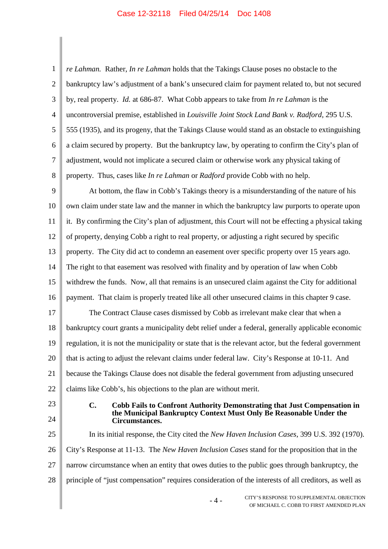1  $\mathcal{D}$ 3 4 5 6 7 8 9 10 11 12 13 14 15 16 17 18 19 20 21 22 23 24 25 26 27 28 *re Lahman.* Rather, *In re Lahman* holds that the Takings Clause poses no obstacle to the bankruptcy law's adjustment of a bank's unsecured claim for payment related to, but not secured by, real property. *Id.* at 686-87. What Cobb appears to take from *In re Lahman* is the uncontroversial premise, established in *Louisville Joint Stock Land Bank v. Radford*, 295 U.S. 555 (1935), and its progeny, that the Takings Clause would stand as an obstacle to extinguishing a claim secured by property. But the bankruptcy law, by operating to confirm the City's plan of adjustment, would not implicate a secured claim or otherwise work any physical taking of property. Thus, cases like *In re Lahman* or *Radford* provide Cobb with no help. At bottom, the flaw in Cobb's Takings theory is a misunderstanding of the nature of his own claim under state law and the manner in which the bankruptcy law purports to operate upon it. By confirming the City's plan of adjustment, this Court will not be effecting a physical taking of property, denying Cobb a right to real property, or adjusting a right secured by specific property. The City did act to condemn an easement over specific property over 15 years ago. The right to that easement was resolved with finality and by operation of law when Cobb withdrew the funds. Now, all that remains is an unsecured claim against the City for additional payment. That claim is properly treated like all other unsecured claims in this chapter 9 case. The Contract Clause cases dismissed by Cobb as irrelevant make clear that when a bankruptcy court grants a municipality debt relief under a federal, generally applicable economic regulation, it is not the municipality or state that is the relevant actor, but the federal government that is acting to adjust the relevant claims under federal law. City's Response at 10-11. And because the Takings Clause does not disable the federal government from adjusting unsecured claims like Cobb's, his objections to the plan are without merit. **C. Cobb Fails to Confront Authority Demonstrating that Just Compensation in the Municipal Bankruptcy Context Must Only Be Reasonable Under the Circumstances.** In its initial response, the City cited the *New Haven Inclusion Cases*, 399 U.S. 392 (1970). City's Response at 11-13. The *New Haven Inclusion Cases* stand for the proposition that in the narrow circumstance when an entity that owes duties to the public goes through bankruptcy, the principle of "just compensation" requires consideration of the interests of all creditors, as well as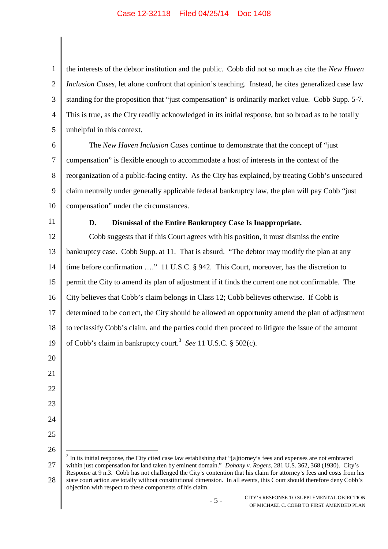1  $\mathcal{D}$ 3 4 5 the interests of the debtor institution and the public. Cobb did not so much as cite the *New Haven Inclusion Cases*, let alone confront that opinion's teaching. Instead, he cites generalized case law standing for the proposition that "just compensation" is ordinarily market value. Cobb Supp. 5-7. This is true, as the City readily acknowledged in its initial response, but so broad as to be totally unhelpful in this context.

6 7 8 9 10 The *New Haven Inclusion Cases* continue to demonstrate that the concept of "just compensation" is flexible enough to accommodate a host of interests in the context of the reorganization of a public-facing entity. As the City has explained, by treating Cobb's unsecured claim neutrally under generally applicable federal bankruptcy law, the plan will pay Cobb "just compensation" under the circumstances.

11

21

22

23

24

25

26

### **D. Dismissal of the Entire Bankruptcy Case Is Inappropriate.**

12 13 14 15 16 17 18 19 20 Cobb suggests that if this Court agrees with his position, it must dismiss the entire bankruptcy case. Cobb Supp. at 11. That is absurd. "The debtor may modify the plan at any time before confirmation …." 11 U.S.C. § 942. This Court, moreover, has the discretion to permit the City to amend its plan of adjustment if it finds the current one not confirmable. The City believes that Cobb's claim belongs in Class 12; Cobb believes otherwise. If Cobb is determined to be correct, the City should be allowed an opportunity amend the plan of adjustment to reclassify Cobb's claim, and the parties could then proceed to litigate the issue of the amount of Cobb's claim in bankruptcy court.<sup>3</sup> *See* 11 U.S.C. § 502(c).

27 28  $3$  In its initial response, the City cited case law establishing that "[a]ttorney's fees and expenses are not embraced within just compensation for land taken by eminent domain." *Dohany v. Rogers*, 281 U.S. 362, 368 (1930). City's Response at 9 n.3. Cobb has not challenged the City's contention that his claim for attorney's fees and costs from his state court action are totally without constitutional dimension. In all events, this Court should therefore deny Cobb's objection with respect to these components of his claim.